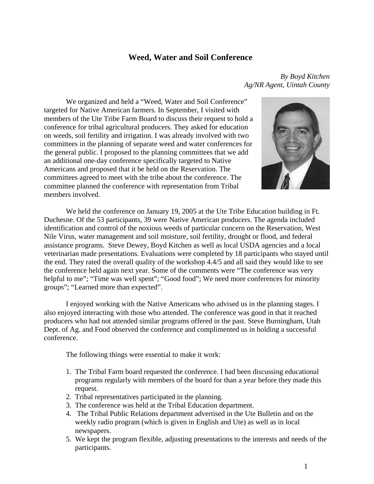## **Weed, Water and Soil Conference**

We organized and held a "Weed, Water and Soil Conference" targeted for Native American farmers. In September, I visited with members of the Ute Tribe Farm Board to discuss their request to hold a conference for tribal agricultural producers. They asked for education on weeds, soil fertility and irrigation. I was already involved with two committees in the planning of separate weed and water conferences for the general public. I proposed to the planning committees that we add an additional one-day conference specifically targeted to Native Americans and proposed that it be held on the Reservation. The committees agreed to meet with the tribe about the conference. The committee planned the conference with representation from Tribal members involved.

*By Boyd Kitchen Ag/NR Agent, Uintah County* 



 We held the conference on January 19, 2005 at the Ute Tribe Education building in Ft. Duchesne. Of the 53 participants, 39 were Native American producers. The agenda included identification and control of the noxious weeds of particular concern on the Reservation, West Nile Virus, water management and soil moisture, soil fertility, drought or flood, and federal assistance programs. Steve Dewey, Boyd Kitchen as well as local USDA agencies and a local veterinarian made presentations. Evaluations were completed by 18 participants who stayed until the end. They rated the overall quality of the workshop 4.4/5 and all said they would like to see the conference held again next year. Some of the comments were "The conference was very helpful to me"; "Time was well spent"; "Good food"; We need more conferences for minority groups"; "Learned more than expected".

I enjoyed working with the Native Americans who advised us in the planning stages. I also enjoyed interacting with those who attended. The conference was good in that it reached producers who had not attended similar programs offered in the past. Steve Burningham, Utah Dept. of Ag. and Food observed the conference and complimented us in holding a successful conference.

The following things were essential to make it work:

- 1. The Tribal Farm board requested the conference. I had been discussing educational programs regularly with members of the board for than a year before they made this request.
- 2. Tribal representatives participated in the planning.
- 3. The conference was held at the Tribal Education department.
- 4. The Tribal Public Relations department advertised in the Ute Bulletin and on the weekly radio program (which is given in English and Ute) as well as in local newspapers.
- 5. We kept the program flexible, adjusting presentations to the interests and needs of the participants.